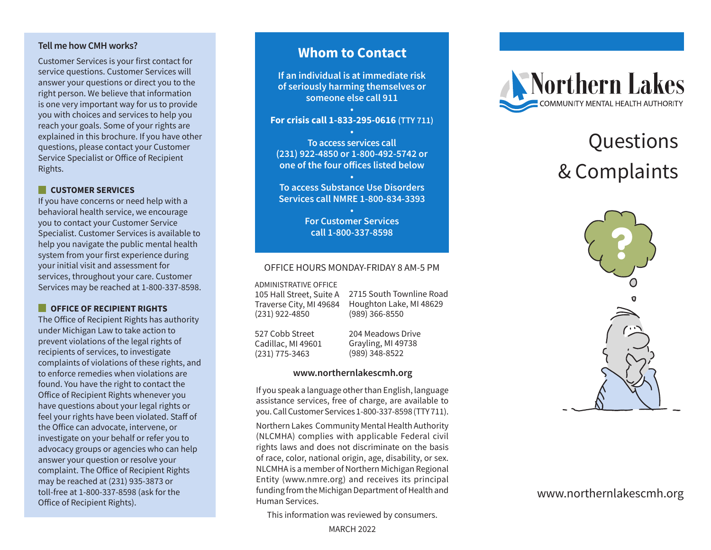#### **Tell me how CMH works?**

Customer Services is your first contact for service questions. Customer Services will answer your questions or direct you to the right person. We believe that information is one very important way for us to provide you with choices and services to help you reach your goals. Some of your rights are explained in this brochure. If you have other questions, please contact your Customer Service Specialist or Office of Recipient Rights.

#### **CUSTOMER SERVICES**

If you have concerns or need help with a behavioral health service, we encourage you to contact your Customer Service Specialist. Customer Services is available to help you navigate the public mental health system from your first experience during your initial visit and assessment for services, throughout your care. Customer Services may be reached at 1-800-337-8598.

### **COFFICE OF RECIPIENT RIGHTS**

The Office of Recipient Rights has authority under Michigan Law to take action to prevent violations of the legal rights of recipients of services, to investigate complaints of violations of these rights, and to enforce remedies when violations are found. You have the right to contact the Office of Recipient Rights whenever you have questions about your legal rights or feel your rights have been violated. Staff of the Office can advocate, intervene, or investigate on your behalf or refer you to advocacy groups or agencies who can help answer your question or resolve your complaint. The Office of Recipient Rights may be reached at (231) 935-3873 or toll-free at 1-800-337-8598 (ask for the

## **Whom to Contact**

**If an individual is at immediate risk of seriously harming themselves or someone else call 911**

#### **• For crisis call 1-833-295-0616 (TTY 711)**

**• To access services call (231) 922-4850 or 1-800-492-5742 or one of the four offices listed below**

**• To access Substance Use Disorders Services call NMRE 1-800-834-3393**

> **• For Customer Services call 1-800-337-8598**

#### OFFICE HOURS MONDAY-FRIDAY 8 AM-5 PM

ADMINISTRATIVE OFFICE

105 Hall Street, Suite A Traverse City, MI 49684 (231) 922-4850

2715 South Townline Road Houghton Lake, MI 48629 (989) 366-8550

527 Cobb Street Cadillac, MI 49601 (231) 775-3463

204 Meadows Drive Grayling, MI 49738 (989) 348-8522

#### **www.northernlakescmh.org**

If you speak a language other than English, language assistance services, free of charge, are available to you. Call Customer Services 1-800-337-8598 (TTY 711).

toll-free at 1-800-337-8598 (ask for the **State of Tending from the Michigan Department** of Health and **www.northernlakescmh.org**<br>Office of Recipient Rights). Northern Lakes Community Mental Health Authority (NLCMHA) complies with applicable Federal civil rights laws and does not discriminate on the basis of race, color, national origin, age, disability, or sex. NLCMHA is a member of Northern Michigan Regional Entity (www.nmre.org) and receives its principal funding from the Michigan Department of Health and Human Services.

This information was reviewed by consumers.



# Questions & Complaints